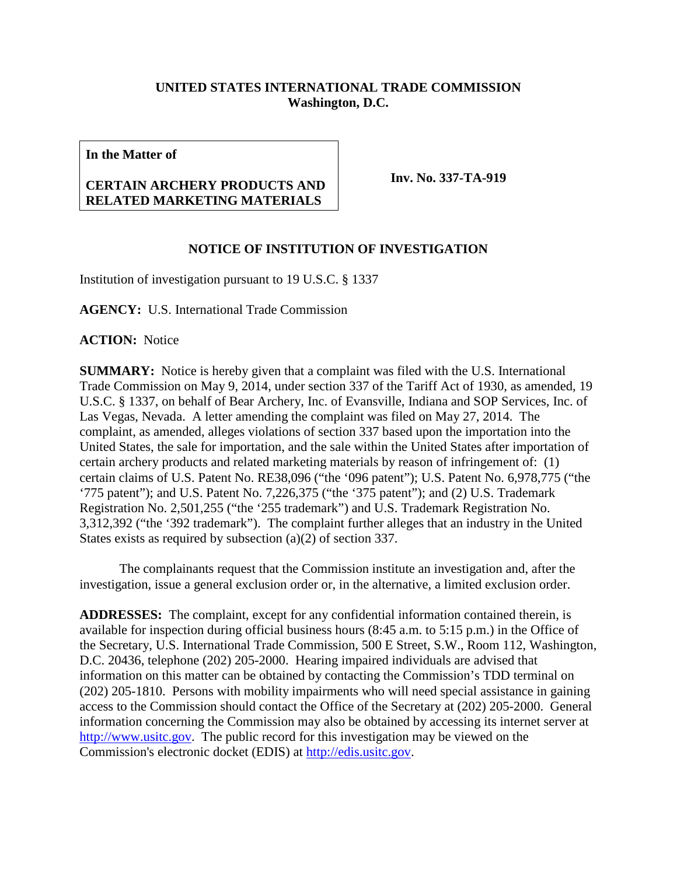## **UNITED STATES INTERNATIONAL TRADE COMMISSION Washington, D.C.**

**In the Matter of**

## **CERTAIN ARCHERY PRODUCTS AND RELATED MARKETING MATERIALS**

**Inv. No. 337-TA-919**

## **NOTICE OF INSTITUTION OF INVESTIGATION**

Institution of investigation pursuant to 19 U.S.C. § 1337

**AGENCY:** U.S. International Trade Commission

**ACTION:** Notice

**SUMMARY:** Notice is hereby given that a complaint was filed with the U.S. International Trade Commission on May 9, 2014, under section 337 of the Tariff Act of 1930, as amended, 19 U.S.C. § 1337, on behalf of Bear Archery, Inc. of Evansville, Indiana and SOP Services, Inc. of Las Vegas, Nevada. A letter amending the complaint was filed on May 27, 2014. The complaint, as amended, alleges violations of section 337 based upon the importation into the United States, the sale for importation, and the sale within the United States after importation of certain archery products and related marketing materials by reason of infringement of: (1) certain claims of U.S. Patent No. RE38,096 ("the '096 patent"); U.S. Patent No. 6,978,775 ("the '775 patent"); and U.S. Patent No. 7,226,375 ("the '375 patent"); and (2) U.S. Trademark Registration No. 2,501,255 ("the '255 trademark") and U.S. Trademark Registration No. 3,312,392 ("the '392 trademark"). The complaint further alleges that an industry in the United States exists as required by subsection (a)(2) of section 337.

The complainants request that the Commission institute an investigation and, after the investigation, issue a general exclusion order or, in the alternative, a limited exclusion order.

**ADDRESSES:** The complaint, except for any confidential information contained therein, is available for inspection during official business hours (8:45 a.m. to 5:15 p.m.) in the Office of the Secretary, U.S. International Trade Commission, 500 E Street, S.W., Room 112, Washington, D.C. 20436, telephone (202) 205-2000. Hearing impaired individuals are advised that information on this matter can be obtained by contacting the Commission's TDD terminal on (202) 205-1810. Persons with mobility impairments who will need special assistance in gaining access to the Commission should contact the Office of the Secretary at (202) 205-2000. General information concerning the Commission may also be obtained by accessing its internet server at [http://www.usitc.gov.](http://www.usitc.gov/) The public record for this investigation may be viewed on the Commission's electronic docket (EDIS) at [http://edis.usitc.gov.](http://edis.usitc.gov/)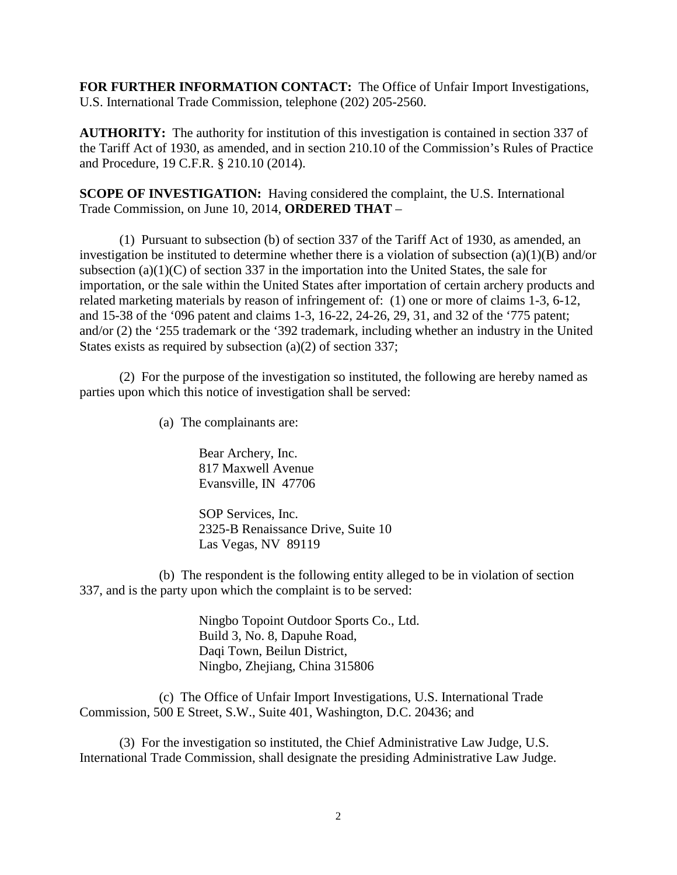**FOR FURTHER INFORMATION CONTACT:** The Office of Unfair Import Investigations, U.S. International Trade Commission, telephone (202) 205-2560.

**AUTHORITY:** The authority for institution of this investigation is contained in section 337 of the Tariff Act of 1930, as amended, and in section 210.10 of the Commission's Rules of Practice and Procedure, 19 C.F.R. § 210.10 (2014).

**SCOPE OF INVESTIGATION:** Having considered the complaint, the U.S. International Trade Commission, on June 10, 2014, **ORDERED THAT** –

(1) Pursuant to subsection (b) of section 337 of the Tariff Act of 1930, as amended, an investigation be instituted to determine whether there is a violation of subsection (a)(1)(B) and/or subsection (a)(1)(C) of section 337 in the importation into the United States, the sale for importation, or the sale within the United States after importation of certain archery products and related marketing materials by reason of infringement of: (1) one or more of claims 1-3, 6-12, and 15-38 of the '096 patent and claims 1-3, 16-22, 24-26, 29, 31, and 32 of the '775 patent; and/or (2) the '255 trademark or the '392 trademark, including whether an industry in the United States exists as required by subsection (a)(2) of section 337;

(2) For the purpose of the investigation so instituted, the following are hereby named as parties upon which this notice of investigation shall be served:

(a) The complainants are:

Bear Archery, Inc. 817 Maxwell Avenue Evansville, IN 47706

SOP Services, Inc. 2325-B Renaissance Drive, Suite 10 Las Vegas, NV 89119

(b) The respondent is the following entity alleged to be in violation of section 337, and is the party upon which the complaint is to be served:

> Ningbo Topoint Outdoor Sports Co., Ltd. Build 3, No. 8, Dapuhe Road, Daqi Town, Beilun District, Ningbo, Zhejiang, China 315806

(c) The Office of Unfair Import Investigations, U.S. International Trade Commission, 500 E Street, S.W., Suite 401, Washington, D.C. 20436; and

(3) For the investigation so instituted, the Chief Administrative Law Judge, U.S. International Trade Commission, shall designate the presiding Administrative Law Judge.